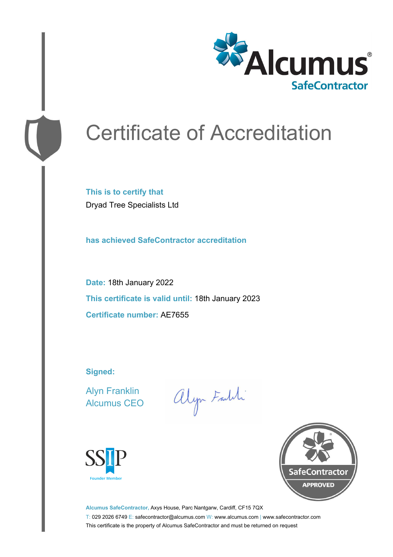

# Certificate of Accreditation

**This is to certify that** Dryad Tree Specialists Ltd

**has achieved SafeContractor accreditation**

**Date:** 18th January 2022 **This certificate is valid until:** 18th January 2023 **Certificate number:** AE7655

**Signed:**

Alyn Franklin Alcumus CEO

alyn Faith





**Alcumus SafeContractor,** Axys House, Parc Nantgarw, Cardiff, CF15 7QX T: 029 2026 6749 E: safecontractor@alcumus.com W: www.alcumus.com | www.safecontractor.com This certificate is the property of Alcumus SafeContractor and must be returned on request